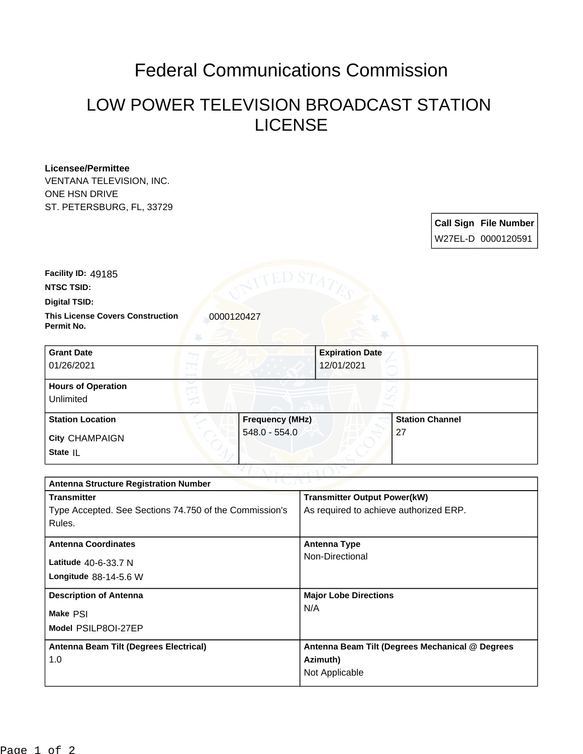## Federal Communications Commission

## LOW POWER TELEVISION BROADCAST STATION LICENSE

## **Licensee/Permittee**

VENTANA TELEVISION, INC. ONE HSN DRIVE ST. PETERSBURG, FL, 33729

| <b>Call Sign File Number</b> |
|------------------------------|
| W27EL-D 0000120591           |

**Facility ID:** 49185

**NTSC TSID:**

**Digital TSID:**

**This License Covers Construction**  0000120427 **Permit No.**

| <b>Grant Date</b><br>01/26/2021        | <b>Expiration Date</b><br>12/01/2021 |                        |
|----------------------------------------|--------------------------------------|------------------------|
| <b>Hours of Operation</b><br>Unlimited |                                      |                        |
| <b>Station Location</b>                | <b>Frequency (MHz)</b>               | <b>Station Channel</b> |
| <b>City CHAMPAIGN</b><br>State IL      | 548.0 - 554.0                        | 27                     |

| <b>Antenna Structure Registration Number</b>           |                                                 |  |  |  |
|--------------------------------------------------------|-------------------------------------------------|--|--|--|
| <b>Transmitter</b>                                     | <b>Transmitter Output Power(kW)</b>             |  |  |  |
| Type Accepted. See Sections 74.750 of the Commission's | As required to achieve authorized ERP.          |  |  |  |
| Rules.                                                 |                                                 |  |  |  |
| <b>Antenna Coordinates</b>                             | Antenna Type                                    |  |  |  |
|                                                        | Non-Directional                                 |  |  |  |
| Latitude 40-6-33.7 N                                   |                                                 |  |  |  |
| Longitude $88-14-5.6$ W                                |                                                 |  |  |  |
| <b>Description of Antenna</b>                          | <b>Major Lobe Directions</b>                    |  |  |  |
| Make PSI                                               | N/A                                             |  |  |  |
| Model PSILP8OI-27EP                                    |                                                 |  |  |  |
| Antenna Beam Tilt (Degrees Electrical)                 | Antenna Beam Tilt (Degrees Mechanical @ Degrees |  |  |  |
| 1.0                                                    | Azimuth)                                        |  |  |  |
|                                                        | Not Applicable                                  |  |  |  |